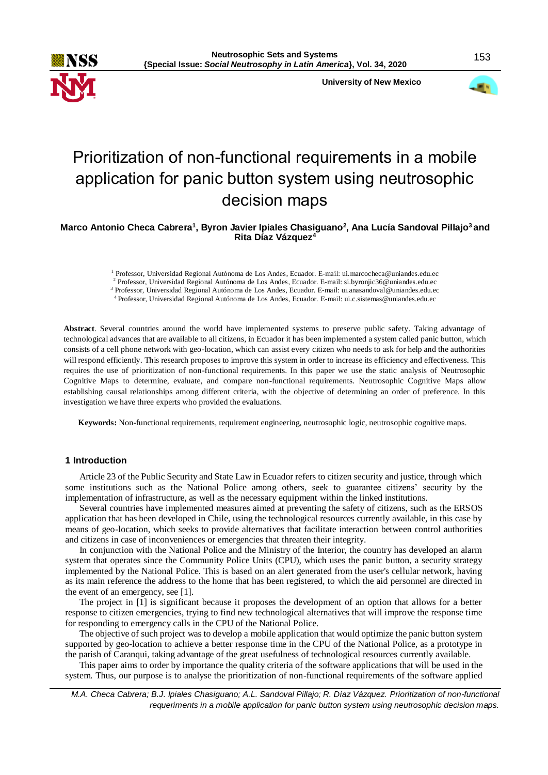

 **University of New Mexico**



# Prioritization of non-functional requirements in a mobile application for panic button system using neutrosophic decision maps

**Marco Antonio Checa Cabrera<sup>1</sup> , Byron Javier Ipiales Chasiguano<sup>2</sup> , Ana Lucía Sandoval Pillajo<sup>3</sup>and Rita Díaz Vázquez<sup>4</sup>**

<sup>1</sup> Professor, Universidad Regional Autónoma de Los Andes, Ecuador. E-mail: ui.marcocheca@uniandes.edu.ec

<sup>2</sup> Professor, Universidad Regional Autónoma de Los Andes, Ecuador. E-mail: si.byronjic36@uniandes.edu.ec

<sup>3</sup> Professor, Universidad Regional Autónoma de Los Andes, Ecuador. E-mail: ui.anasandoval@uniandes.edu.ec <sup>4</sup>Professor, Universidad Regional Autónoma de Los Andes, Ecuador. E-mail: ui.c.sistemas@uniandes.edu.ec

**Abstract**. Several countries around the world have implemented systems to preserve public safety. Taking advantage of technological advances that are available to all citizens, in Ecuador it has been implemented a system called panic button, which consists of a cell phone network with geo-location, which can assist every citizen who needs to ask for help and the authorities will respond efficiently. This research proposes to improve this system in order to increase its efficiency and effectiveness. This requires the use of prioritization of non-functional requirements. In this paper we use the static analysis of Neutrosophic Cognitive Maps to determine, evaluate, and compare non-functional requirements. Neutrosophic Cognitive Maps allow establishing causal relationships among different criteria, with the objective of determining an order of preference. In this investigation we have three experts who provided the evaluations.

**Keywords:** Non-functional requirements, requirement engineering, neutrosophic logic, neutrosophic cognitive maps.

# **1 Introduction**

Article 23 of the Public Security and State Law in Ecuador refers to citizen security and justice, through which some institutions such as the National Police among others, seek to guarantee citizens' security by the implementation of infrastructure, as well as the necessary equipment within the linked institutions.

Several countries have implemented measures aimed at preventing the safety of citizens, such as the ERSOS application that has been developed in Chile, using the technological resources currently available, in this case by means of geo-location, which seeks to provide alternatives that facilitate interaction between control authorities and citizens in case of inconveniences or emergencies that threaten their integrity.

In conjunction with the National Police and the Ministry of the Interior, the country has developed an alarm system that operates since the Community Police Units (CPU), which uses the panic button, a security strategy implemented by the National Police. This is based on an alert generated from the user's cellular network, having as its main reference the address to the home that has been registered, to which the aid personnel are directed in the event of an emergency, see [1].

The project in [1] is significant because it proposes the development of an option that allows for a better response to citizen emergencies, trying to find new technological alternatives that will improve the response time for responding to emergency calls in the CPU of the National Police.

The objective of such project was to develop a mobile application that would optimize the panic button system supported by geo-location to achieve a better response time in the CPU of the National Police, as a prototype in the parish of Caranqui, taking advantage of the great usefulness of technological resources currently available.

This paper aims to order by importance the quality criteria of the software applications that will be used in the system. Thus, our purpose is to analyse the prioritization of non-functional requirements of the software applied

*M.A. Checa Cabrera; B.J. Ipiales Chasiguano; A.L. Sandoval Pillajo; R. Díaz Vázquez. Prioritization of non-functional requeriments in a mobile application for panic button system using neutrosophic decision maps.*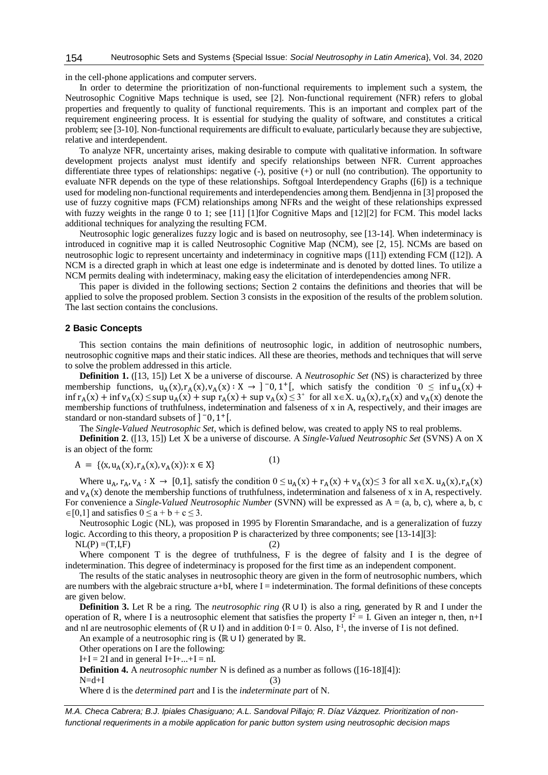#### Neutrosophic Sets and Systems {Special Issue: *Social Neutrosophy in Latin America*}, Vol. 34, 2020 154

in the cell-phone applications and computer servers.

In order to determine the prioritization of non-functional requirements to implement such a system, the Neutrosophic Cognitive Maps technique is used, see [2]. Non-functional requirement (NFR) refers to global properties and frequently to quality of functional requirements. This is an important and complex part of the requirement engineering process. It is essential for studying the quality of software, and constitutes a critical problem; see [3-10]. Non-functional requirements are difficult to evaluate, particularly because they are subjective, relative and interdependent.

To analyze NFR, uncertainty arises, making desirable to compute with qualitative information. In software development projects analyst must identify and specify relationships between NFR. Current approaches differentiate three types of relationships: negative (-), positive (+) or null (no contribution). The opportunity to evaluate NFR depends on the type of these relationships. Softgoal Interdependency Graphs ([6]) is a technique used for modeling non-functional requirements and interdependencies among them. Bendjenna in [3] proposed the use of fuzzy cognitive maps (FCM) relationships among NFRs and the weight of these relationships expressed with fuzzy weights in the range 0 to 1; see [11] [1]for Cognitive Maps and [12][2] for FCM. This model lacks additional techniques for analyzing the resulting FCM.

Neutrosophic logic generalizes fuzzy logic and is based on neutrosophy, see [13-14]. When indeterminacy is introduced in cognitive map it is called Neutrosophic Cognitive Map (NCM), see [2, 15]. NCMs are based on neutrosophic logic to represent uncertainty and indeterminacy in cognitive maps ([11]) extending FCM ([12]). A NCM is a directed graph in which at least one edge is indeterminate and is denoted by dotted lines. To utilize a NCM permits dealing with indeterminacy, making easy the elicitation of interdependencies among NFR.

This paper is divided in the following sections; Section 2 contains the definitions and theories that will be applied to solve the proposed problem. Section 3 consists in the exposition of the results of the problem solution. The last section contains the conclusions.

## **2 Basic Concepts**

This section contains the main definitions of neutrosophic logic, in addition of neutrosophic numbers, neutrosophic cognitive maps and their static indices. All these are theories, methods and techniques that will serve to solve the problem addressed in this article.

**Definition 1.** ([13, 15]) Let X be a universe of discourse. A *Neutrosophic Set* (NS) is characterized by three membership functions,  $u_A(x), r_A(x), v_A(x) : X \to ]-0, 1^+[$ , which satisfy the condition  $0 \le \inf u_A(x) +$  $\inf r_A(x) + \inf v_A(x) \leq \sup u_A(x) + \sup r_A(x) + \sup v_A(x) \leq 3^+$  for all  $x \in X$ .  $u_A(x)$ ,  $r_A(x)$  and  $v_A(x)$  denote the membership functions of truthfulness, indetermination and falseness of x in A, respectively, and their images are standard or non-standard subsets of  $]$ <sup>-</sup>0, 1<sup>+</sup>[.

The *Single-Valued Neutrosophic Set*, which is defined below, was created to apply NS to real problems.

**Definition 2**. ([13, 15]) Let X be a universe of discourse. A *Single-Valued Neutrosophic Set* (SVNS) A on X is an object of the form:

$$
A = \{ \langle x, u_A(x), r_A(x), v_A(x) \rangle : x \in X \}
$$
 (1)

Where  $u_A$ ,  $r_A$ ,  $v_A : X \to [0,1]$ , satisfy the condition  $0 \le u_A(x) + r_A(x) + v_A(x) \le 3$  for all  $x \in X$ .  $u_A(x)$ ,  $r_A(x)$ and  $v_A(x)$  denote the membership functions of truthfulness, indetermination and falseness of x in A, respectively. For convenience a *Single-Valued Neutrosophic Number* (SVNN) will be expressed as A = (a, b, c), where a, b, c  $\in [0,1]$  and satisfies  $0 \le a + b + c \le 3$ .

Neutrosophic Logic (NL), was proposed in 1995 by Florentin Smarandache, and is a generalization of fuzzy logic. According to this theory, a proposition P is characterized by three components; see [13-14][3]:  $NL(P) = (T, I, F)$  (2)

Where component T is the degree of truthfulness, F is the degree of falsity and I is the degree of indetermination. This degree of indeterminacy is proposed for the first time as an independent component.

The results of the static analyses in neutrosophic theory are given in the form of neutrosophic numbers, which are numbers with the algebraic structure  $a+bI$ , where  $I =$  indetermination. The formal definitions of these concepts are given below.

**Definition 3.** Let R be a ring. The *neutrosophic ring*  $\langle R \cup I \rangle$  is also a ring, generated by R and I under the operation of R, where I is a neutrosophic element that satisfies the property  $I^2 = I$ . Given an integer n, then, n+I and nI are neutrosophic elements of  $(R \cup I)$  and in addition  $0 \cdot I = 0$ . Also,  $I^{-1}$ , the inverse of I is not defined.

An example of a neutrosophic ring is  $(\mathbb{R} \cup I)$  generated by  $\mathbb{R}$ .

Other operations on I are the following:

 $I+I = 2I$  and in general  $I+I+...+I = nI$ .

**Definition 4.** A *neutrosophic number* N is defined as a number as follows ([16-18][4]):  $N=d+I$  (3)

Where d is the *determined part* and I is the *indeterminate part* of N.

*M.A. Checa Cabrera; B.J. Ipiales Chasiguano; A.L. Sandoval Pillajo; R. Díaz Vázquez. Prioritization of nonfunctional requeriments in a mobile application for panic button system using neutrosophic decision maps*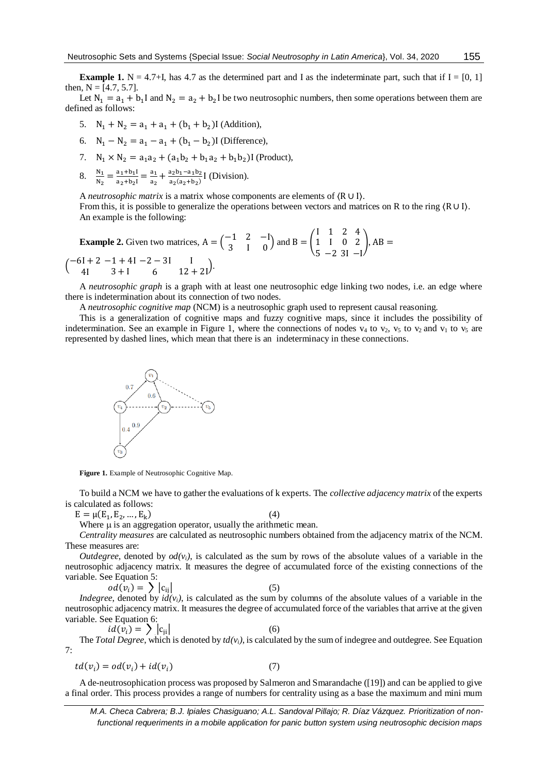155

**Example 1.** N = 4.7+I, has 4.7 as the determined part and I as the indeterminate part, such that if I = [0, 1] then,  $N = [4.7, 5.7]$ .

Let  $N_1 = a_1 + b_1 I$  and  $N_2 = a_2 + b_2 I$  be two neutrosophic numbers, then some operations between them are defined as follows:

- 5.  $N_1 + N_2 = a_1 + a_1 + (b_1 + b_2)$ I (Addition),
- 6.  $N_1 N_2 = a_1 a_1 + (b_1 b_2)$ I (Difference),
- 7.  $N_1 \times N_2 = a_1 a_2 + (a_1 b_2 + b_1 a_2 + b_1 b_2)$ I (Product),
- 8.  $\frac{N_1}{N_2} = \frac{a_1 + b_1 I}{a_2 + b_2 I}$  $\frac{a_1+b_1I}{a_2+b_2I} = \frac{a_1}{a_2}$  $\frac{a_1}{a_2} + \frac{a_2b_1 - a_1b_2}{a_2(a_2+b_2)}$  $rac{a_2b_1 - a_1b_2}{a_2(a_2 + b_2)}$  [ (Division).

A *neutrosophic matrix* is a matrix whose components are elements of 〈R ∪ I〉.

From this, it is possible to generalize the operations between vectors and matrices on R to the ring  $(R ∪ I)$ . An example is the following:

**Example 2.** Given two matrices,  $A = \begin{pmatrix} -1 & 2 & -1 \\ 2 & 1 & 0 \end{pmatrix}$  $\begin{pmatrix} -1 & 2 & -1 \\ 3 & 1 & 0 \end{pmatrix}$  and B =  $\begin{pmatrix} 1 & 0 \\ 0 & 1 \end{pmatrix}$ I 1 5 1 I −2 2 0 3I 4 2  $-\mathbf{I}$  $\vert$ , AB  $=$  $\binom{-6I + 2}{4I}$ 4I  $-1 + 4I$ 3 + I  $-2 - 3I$ 6  $\frac{1}{12+21}$ .

A *neutrosophic graph* is a graph with at least one neutrosophic edge linking two nodes, i.e. an edge where there is indetermination about its connection of two nodes.

A *neutrosophic cognitive map* (NCM) is a neutrosophic graph used to represent causal reasoning.

This is a generalization of cognitive maps and fuzzy cognitive maps, since it includes the possibility of indetermination. See an example in Figure 1, where the connections of nodes  $v_4$  to  $v_2$ ,  $v_5$  to  $v_2$  and  $v_1$  to  $v_5$  are represented by dashed lines, which mean that there is an indeterminacy in these connections.



**Figure 1.** Example of Neutrosophic Cognitive Map.

To build a NCM we have to gather the evaluations of k experts. The *collective adjacency matrix* of the experts is calculated as follows:

 $E = \mu(E_1, E_2, ..., E_k)$  $)$  (4)

Where  $\mu$  is an aggregation operator, usually the arithmetic mean.

*Centrality measures* are calculated as neutrosophic numbers obtained from the adjacency matrix of the NCM. These measures are:

*Outdegree*, denoted by  $od(v_i)$ , is calculated as the sum by rows of the absolute values of a variable in the neutrosophic adjacency matrix. It measures the degree of accumulated force of the existing connections of the variable. See Equation 5:

$$
od(v_i) = \sum |c_{ij}|
$$
 (5)

*Indegree*, denoted by  $id(v_i)$ , is calculated as the sum by columns of the absolute values of a variable in the neutrosophic adjacency matrix. It measures the degree of accumulated force of the variables that arrive at the given variable. See Equation 6:

$$
id(v_i) = \sum |c_{ii}| \tag{6}
$$

The *Total Degree*, which is denoted by  $td(v_i)$ , is calculated by the sum of indegree and outdegree. See Equation 7:

$$
td(v_i) = od(v_i) + id(v_i)
$$
\n(7)

A de-neutrosophication process was proposed by Salmeron and Smarandache ([19]) and can be applied to give a final order. This process provides a range of numbers for centrality using as a base the maximum and mini mum

*M.A. Checa Cabrera; B.J. Ipiales Chasiguano; A.L. Sandoval Pillajo; R. Díaz Vázquez. Prioritization of nonfunctional requeriments in a mobile application for panic button system using neutrosophic decision maps*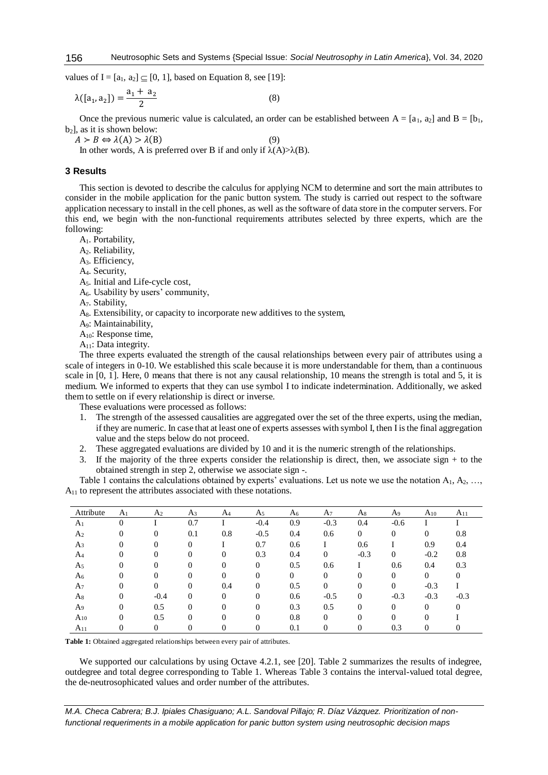values of I =  $[a_1, a_2] \subset [0, 1]$ , based on Equation 8, see [19]:

$$
\lambda([a_1, a_2]) = \frac{a_1 + a_2}{2} \tag{8}
$$

Once the previous numeric value is calculated, an order can be established between  $A = [a_1, a_2]$  and  $B = [b_1, a_2]$  $b<sub>2</sub>$ , as it is shown below:

 $A > B \Leftrightarrow \lambda(A) > \lambda(B)$  (9) In other words, A is preferred over B if and only if  $\lambda(A) > \lambda(B)$ .

#### **3 Results**

This section is devoted to describe the calculus for applying NCM to determine and sort the main attributes to consider in the mobile application for the panic button system. The study is carried out respect to the software application necessary to install in the cell phones, as well as the software of data store in the computer servers. For this end, we begin with the non-functional requirements attributes selected by three experts, which are the following:

A1. Portability,

A<sub>2</sub>. Reliability,

A3. Efficiency,

A4. [Security,](https://en.wikipedia.org/wiki/Security)

A5. Initial and [Life-cycle cost,](https://en.wikipedia.org/wiki/Life-cycle_cost)

A6. [Usability](https://en.wikipedia.org/wiki/Usability) by users' community,

A7. [Stability,](https://en.wikipedia.org/wiki/Stability_Model)

A8. [Extensibility,](https://en.wikipedia.org/wiki/Extensibility) or capacity to incorporate new additives to the system,

A9: [Maintainability,](https://en.wikipedia.org/wiki/Maintainability)

A10: [Response time,](https://en.wikipedia.org/wiki/Response_Time#Data_processing)

A<sub>11</sub>: [Data integrity.](https://en.wikipedia.org/wiki/Data_integrity)

The three experts evaluated the strength of the causal relationships between every pair of attributes using a scale of integers in 0-10. We established this scale because it is more understandable for them, than a continuous scale in [0, 1]. Here, 0 means that there is not any causal relationship, 10 means the strength is total and 5, it is medium. We informed to experts that they can use symbol I to indicate indetermination. Additionally, we asked them to settle on if every relationship is direct or inverse.

These evaluations were processed as follows:

- 1. The strength of the assessed causalities are aggregated over the set of the three experts, using the median, if they are numeric. In case that at least one of experts assesses with symbol I, then I is the final aggregation value and the steps below do not proceed.
- 2. These aggregated evaluations are divided by 10 and it is the numeric strength of the relationships.
- 3. If the majority of the three experts consider the relationship is direct, then, we associate sign + to the obtained strength in step 2, otherwise we associate sign -.

Table 1 contains the calculations obtained by experts' evaluations. Let us note we use the notation  $A_1, A_2, \ldots$ ,  $A_{11}$  to represent the attributes associated with these notations.

| Attribute      | A <sub>1</sub> | A <sub>2</sub> | A <sub>3</sub> | A <sub>4</sub> | A <sub>5</sub> | A <sub>6</sub> | A <sub>7</sub> | As       | A9       | $A_{10}$ | $A_{11}$ |
|----------------|----------------|----------------|----------------|----------------|----------------|----------------|----------------|----------|----------|----------|----------|
| A <sub>1</sub> |                |                | 0.7            |                | $-0.4$         | 0.9            | $-0.3$         | 0.4      | $-0.6$   |          |          |
| A <sub>2</sub> |                | $\Omega$       | 0.1            | 0.8            | $-0.5$         | 0.4            | 0.6            | $\Omega$ | 0        | 0        | 0.8      |
| A <sub>3</sub> |                | 0              | 0              |                | 0.7            | 0.6            |                | 0.6      |          | 0.9      | 0.4      |
| A <sub>4</sub> |                | 0              |                | 0              | 0.3            | 0.4            | 0              | $-0.3$   | $\Omega$ | $-0.2$   | 0.8      |
| A <sub>5</sub> |                | 0              |                | 0              | 0              | 0.5            | 0.6            |          | 0.6      | 0.4      | 0.3      |
| A <sub>6</sub> |                | 0              |                | $_{0}$         | 0              | $\Omega$       | $\theta$       | $\Omega$ | 0        | 0        |          |
| A7             | 0              | 0              | $\theta$       | 0.4            | 0              | 0.5            | 0              | $\Omega$ | $\Omega$ | $-0.3$   |          |
| As             | 0              | $-0.4$         | $\Omega$       | 0              | 0              | 0.6            | $-0.5$         | $\Omega$ | $-0.3$   | $-0.3$   | $-0.3$   |
| A9             | 0              | 0.5            | 0              | 0              | 0              | 0.3            | 0.5            | $\Omega$ | $\Omega$ | $\Omega$ |          |
| $A_{10}$       | 0              | 0.5            | $\theta$       |                | 0              | 0.8            | 0              | $\Omega$ |          |          |          |
| A11            |                | 0              |                |                | 0              | 0.1            | 0              | 0        | 0.3      | 0        |          |

**Table 1:** Obtained aggregated relationships between every pair of attributes.

We supported our calculations by using Octave 4.2.1, see [20]. Table 2 summarizes the results of indegree, outdegree and total degree corresponding to Table 1. Whereas Table 3 contains the interval-valued total degree, the de-neutrosophicated values and order number of the attributes.

*M.A. Checa Cabrera; B.J. Ipiales Chasiguano; A.L. Sandoval Pillajo; R. Díaz Vázquez. Prioritization of nonfunctional requeriments in a mobile application for panic button system using neutrosophic decision maps*

156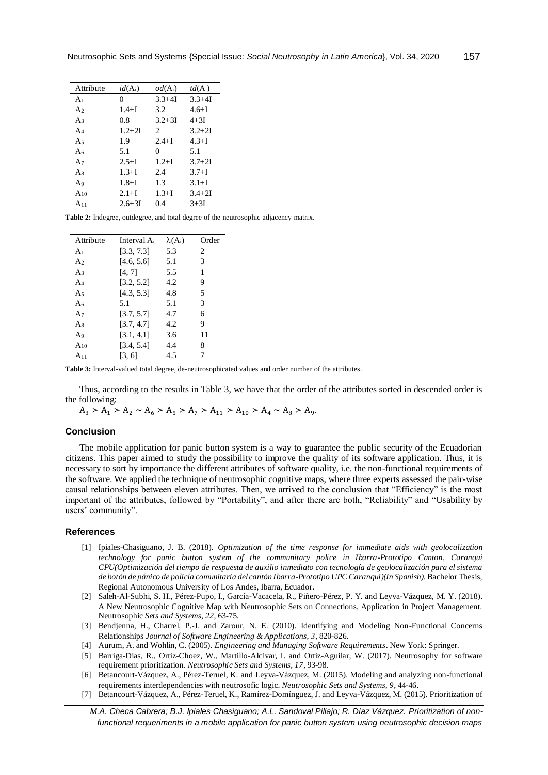| Attribute      | $id(A_i)$  | $od(A_i)$                   | $td(A_i)$  |
|----------------|------------|-----------------------------|------------|
| A <sub>1</sub> | 0          | $3.3 + 4I$                  | $3.3 + 4I$ |
| A <sub>2</sub> | $1.4 + I$  | 3.2                         | $4.6 + I$  |
| A <sub>3</sub> | 0.8        | $3.2 + 3I$                  | $4 + 3I$   |
| $A_4$          | $1.2 + 2I$ | $\mathcal{D}_{\mathcal{L}}$ | $3.2 + 2I$ |
| A $\sim$       | 1.9        | $2.4 + I$                   | $4.3 + I$  |
| A6             | 5.1        | 0                           | 5.1        |
| A $\tau$       | $2.5 + I$  | $1.2 + I$                   | $3.7 + 2I$ |
| As             | $1.3 + I$  | 2.4                         | $3.7 + I$  |
| A9             | $1.8 + I$  | 1.3                         | $3.1 + I$  |
| $A_{10}$       | $2.1 + I$  | $1.3 + I$                   | $3.4 + 2I$ |
| $A_{11}$       | $2.6 + 3I$ | 0.4                         | $3+3I$     |
|                |            |                             |            |

Table 2: Indegree, outdegree, and total degree of the neutrosophic adjacency matrix.

| Attribute      | Interval A <sub>i</sub> | $\lambda(A_i)$ | Order |
|----------------|-------------------------|----------------|-------|
| A <sub>1</sub> | [3.3, 7.3]              | 5.3            | 2     |
| A <sub>2</sub> | [4.6, 5.6]              | 5.1            | 3     |
| A <sub>3</sub> | [4, 7]                  | 5.5            | 1     |
| $A_4$          | [3.2, 5.2]              | 4.2            | 9     |
| A5             | [4.3, 5.3]              | 4.8            | 5     |
| A6             | 5.1                     | 5.1            | 3     |
| $A_7$          | [3.7, 5.7]              | 4.7            | 6     |
| As             | [3.7, 4.7]              | 4.2            | 9     |
| A9             | [3.1, 4.1]              | 3.6            | 11    |
| $A_{10}$       | [3.4, 5.4]              | 4.4            | 8     |
| $A_{11}$       | [3, 6]                  | 4.5            |       |

Table 3: Interval-valued total degree, de-neutrosophicated values and order number of the attributes.

Thus, according to the results in Table 3, we have that the order of the attributes sorted in descended order is the following:

 $A_3 > A_1 > A_2 \sim A_6 > A_5 > A_7 > A_{11} > A_{10} > A_4 \sim A_8 > A_9.$ 

## **Conclusion**

The mobile application for panic button system is a way to guarantee the public security of the Ecuadorian citizens. This paper aimed to study the possibility to improve the quality of its software application. Thus, it is necessary to sort by importance the different attributes of software quality, i.e. the non-functional requirements of the software. We applied the technique of neutrosophic cognitive maps, where three experts assessed the pair-wise causal relationships between eleven attributes. Then, we arrived to the conclusion that "Efficiency" is the most important of the attributes, followed by "Portability", and after there are both, "Reliability" and "Usability by users' community".

#### **References**

- [1] Ipiales-Chasiguano, J. B. (2018). Optimization of the time response for immediate aids with geolocalization technology for panic button system of the communitary police in Ibarra-Prototipo Canton, Caranqui CPU(Optimización del tiempo de respuesta de auxilio inmediato con tecnología de geolocalización para el sistema de botón de pánico de policía comunitaria del cantón Ibarra-Prototipo UPC Caranqui)(In Spanish). Bachelor Thesis, Regional Autonomous University of Los Andes, Ibarra, Ecuador.
- [2] Saleh-Al-Subhi, S. H., Pérez-Pupo, I., García-Vacacela, R., Piñero-Pérez, P. Y. and Leyva-Vázquez, M. Y. (2018). A New Neutrosophic Cognitive Map with Neutrosophic Sets on Connections, Application in Project Management. Neutrosophic Sets and Systems, 22, 63-75.
- [3] Bendjenna, H., Charrel, P.-J. and Zarour, N. E. (2010). Identifying and Modeling Non-Functional Concerns Relationships Journal of Software Engineering & Applications, 3, 820-826.
- [4] Aurum, A. and Wohlin, C. (2005). *Engineering and Managing Software Requirements*. New York: Springer.
- [5] Barriga-Dias, R., Ortiz-Choez, W., Martillo-Alcivar, I. and Ortiz-Aguilar, W. (2017). Neutrosophy for software requirement prioritization. Neutrosophic Sets and Systems, 17, 93-98.
- [6] Betancourt-Vázquez, A., Pérez-Teruel, K. and Leyva-Vázquez, M. (2015). Modeling and analyzing non-functional requirements interdependencies with neutrosofic logic. Neutrosophic Sets and Systems, 9, 44-46.
- [7] Betancourt-Vázquez, A., Pérez-Teruel, K., Ramírez-Domínguez, J. and Leyva-Vázquez, M. (2015). Prioritization of

M.A. Checa Cabrera; B.J. Ipiales Chasiguano; A.L. Sandoval Pillajo; R. Díaz Vázquez. Prioritization of nonfunctional requeriments in a mobile application for panic button system using neutrosophic decision maps